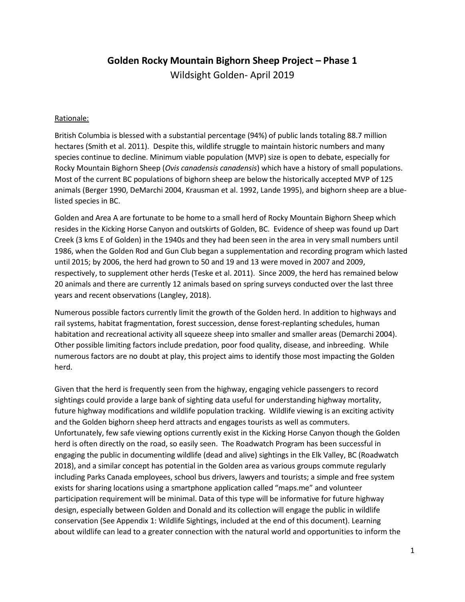# **Golden Rocky Mountain Bighorn Sheep Project – Phase 1**

Wildsight Golden- April 2019

### Rationale:

British Columbia is blessed with a substantial percentage (94%) of public lands totaling 88.7 million hectares (Smith et al. 2011). Despite this, wildlife struggle to maintain historic numbers and many species continue to decline. Minimum viable population (MVP) size is open to debate, especially for Rocky Mountain Bighorn Sheep (*Ovis canadensis canadensis*) which have a history of small populations. Most of the current BC populations of bighorn sheep are below the historically accepted MVP of 125 animals (Berger 1990, DeMarchi 2004, Krausman et al. 1992, Lande 1995), and bighorn sheep are a bluelisted species in BC.

Golden and Area A are fortunate to be home to a small herd of Rocky Mountain Bighorn Sheep which resides in the Kicking Horse Canyon and outskirts of Golden, BC. Evidence of sheep was found up Dart Creek (3 kms E of Golden) in the 1940s and they had been seen in the area in very small numbers until 1986, when the Golden Rod and Gun Club began a supplementation and recording program which lasted until 2015; by 2006, the herd had grown to 50 and 19 and 13 were moved in 2007 and 2009, respectively, to supplement other herds (Teske et al. 2011). Since 2009, the herd has remained below 20 animals and there are currently 12 animals based on spring surveys conducted over the last three years and recent observations (Langley, 2018).

Numerous possible factors currently limit the growth of the Golden herd. In addition to highways and rail systems, habitat fragmentation, forest succession, dense forest-replanting schedules, human habitation and recreational activity all squeeze sheep into smaller and smaller areas (Demarchi 2004). Other possible limiting factors include predation, poor food quality, disease, and inbreeding. While numerous factors are no doubt at play, this project aims to identify those most impacting the Golden herd.

Given that the herd is frequently seen from the highway, engaging vehicle passengers to record sightings could provide a large bank of sighting data useful for understanding highway mortality, future highway modifications and wildlife population tracking. Wildlife viewing is an exciting activity and the Golden bighorn sheep herd attracts and engages tourists as well as commuters. Unfortunately, few safe viewing options currently exist in the Kicking Horse Canyon though the Golden herd is often directly on the road, so easily seen. The Roadwatch Program has been successful in engaging the public in documenting wildlife (dead and alive) sightings in the Elk Valley, BC (Roadwatch 2018), and a similar concept has potential in the Golden area as various groups commute regularly including Parks Canada employees, school bus drivers, lawyers and tourists; a simple and free system exists for sharing locations using a smartphone application called "maps.me" and volunteer participation requirement will be minimal. Data of this type will be informative for future highway design, especially between Golden and Donald and its collection will engage the public in wildlife conservation (See Appendix 1: Wildlife Sightings, included at the end of this document). Learning about wildlife can lead to a greater connection with the natural world and opportunities to inform the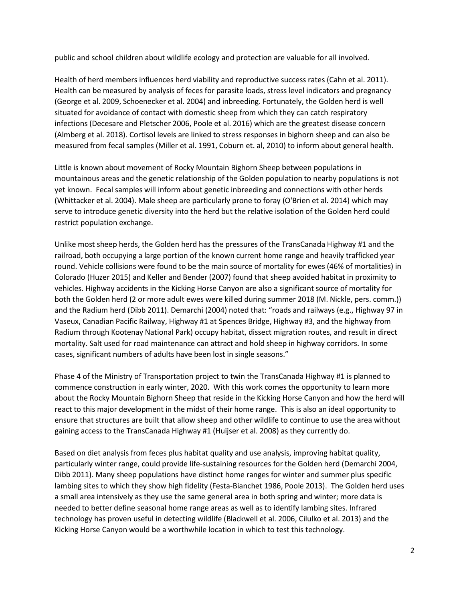public and school children about wildlife ecology and protection are valuable for all involved.

Health of herd members influences herd viability and reproductive success rates (Cahn et al. 2011). Health can be measured by analysis of feces for parasite loads, stress level indicators and pregnancy (George et al. 2009, Schoenecker et al. 2004) and inbreeding. Fortunately, the Golden herd is well situated for avoidance of contact with domestic sheep from which they can catch respiratory infections (Decesare and Pletscher 2006, Poole et al. 2016) which are the greatest disease concern (Almberg et al. 2018). Cortisol levels are linked to stress responses in bighorn sheep and can also be measured from fecal samples (Miller et al. 1991, Coburn et. al, 2010) to inform about general health.

Little is known about movement of Rocky Mountain Bighorn Sheep between populations in mountainous areas and the genetic relationship of the Golden population to nearby populations is not yet known. Fecal samples will inform about genetic inbreeding and connections with other herds (Whittacker et al. 2004). Male sheep are particularly prone to foray (O'Brien et al. 2014) which may serve to introduce genetic diversity into the herd but the relative isolation of the Golden herd could restrict population exchange.

Unlike most sheep herds, the Golden herd has the pressures of the TransCanada Highway #1 and the railroad, both occupying a large portion of the known current home range and heavily trafficked year round. Vehicle collisions were found to be the main source of mortality for ewes (46% of mortalities) in Colorado (Huzer 2015) and Keller and Bender (2007) found that sheep avoided habitat in proximity to vehicles. Highway accidents in the Kicking Horse Canyon are also a significant source of mortality for both the Golden herd (2 or more adult ewes were killed during summer 2018 (M. Nickle, pers. comm.)) and the Radium herd (Dibb 2011). Demarchi (2004) noted that: "roads and railways (e.g., Highway 97 in Vaseux, Canadian Pacific Railway, Highway #1 at Spences Bridge, Highway #3, and the highway from Radium through Kootenay National Park) occupy habitat, dissect migration routes, and result in direct mortality. Salt used for road maintenance can attract and hold sheep in highway corridors. In some cases, significant numbers of adults have been lost in single seasons."

Phase 4 of the Ministry of Transportation project to twin the TransCanada Highway #1 is planned to commence construction in early winter, 2020. With this work comes the opportunity to learn more about the Rocky Mountain Bighorn Sheep that reside in the Kicking Horse Canyon and how the herd will react to this major development in the midst of their home range. This is also an ideal opportunity to ensure that structures are built that allow sheep and other wildlife to continue to use the area without gaining access to the TransCanada Highway #1 (Huijser et al. 2008) as they currently do.

Based on diet analysis from feces plus habitat quality and use analysis, improving habitat quality, particularly winter range, could provide life-sustaining resources for the Golden herd (Demarchi 2004, Dibb 2011). Many sheep populations have distinct home ranges for winter and summer plus specific lambing sites to which they show high fidelity (Festa-Bianchet 1986, Poole 2013). The Golden herd uses a small area intensively as they use the same general area in both spring and winter; more data is needed to better define seasonal home range areas as well as to identify lambing sites. Infrared technology has proven useful in detecting wildlife (Blackwell et al. 2006, Cilulko et al. 2013) and the Kicking Horse Canyon would be a worthwhile location in which to test this technology.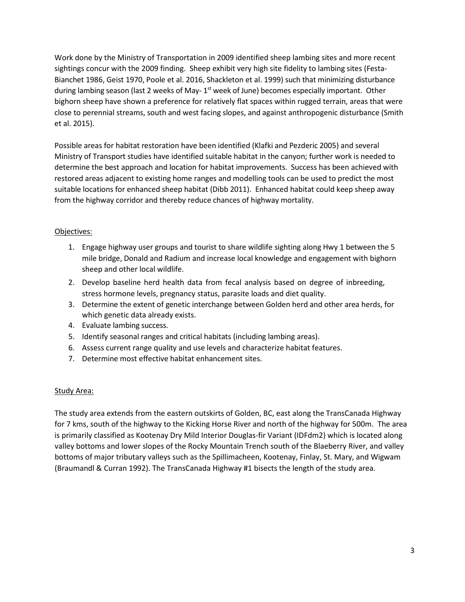Work done by the Ministry of Transportation in 2009 identified sheep lambing sites and more recent sightings concur with the 2009 finding. Sheep exhibit very high site fidelity to lambing sites (Festa-Bianchet 1986, Geist 1970, Poole et al. 2016, Shackleton et al. 1999) such that minimizing disturbance during lambing season (last 2 weeks of May- $1<sup>st</sup>$  week of June) becomes especially important. Other bighorn sheep have shown a preference for relatively flat spaces within rugged terrain, areas that were close to perennial streams, south and west facing slopes, and against anthropogenic disturbance (Smith et al. 2015).

Possible areas for habitat restoration have been identified (Klafki and Pezderic 2005) and several Ministry of Transport studies have identified suitable habitat in the canyon; further work is needed to determine the best approach and location for habitat improvements. Success has been achieved with restored areas adjacent to existing home ranges and modelling tools can be used to predict the most suitable locations for enhanced sheep habitat (Dibb 2011). Enhanced habitat could keep sheep away from the highway corridor and thereby reduce chances of highway mortality.

### Objectives:

- 1. Engage highway user groups and tourist to share wildlife sighting along Hwy 1 between the 5 mile bridge, Donald and Radium and increase local knowledge and engagement with bighorn sheep and other local wildlife.
- 2. Develop baseline herd health data from fecal analysis based on degree of inbreeding, stress hormone levels, pregnancy status, parasite loads and diet quality.
- 3. Determine the extent of genetic interchange between Golden herd and other area herds, for which genetic data already exists.
- 4. Evaluate lambing success.
- 5. Identify seasonal ranges and critical habitats (including lambing areas).
- 6. Assess current range quality and use levels and characterize habitat features.
- 7. Determine most effective habitat enhancement sites.

### Study Area:

The study area extends from the eastern outskirts of Golden, BC, east along the TransCanada Highway for 7 kms, south of the highway to the Kicking Horse River and north of the highway for 500m. The area is primarily classified as Kootenay Dry Mild Interior Douglas-fir Variant (IDFdm2) which is located along valley bottoms and lower slopes of the Rocky Mountain Trench south of the Blaeberry River, and valley bottoms of major tributary valleys such as the Spillimacheen, Kootenay, Finlay, St. Mary, and Wigwam (Braumandl & Curran 1992). The TransCanada Highway #1 bisects the length of the study area.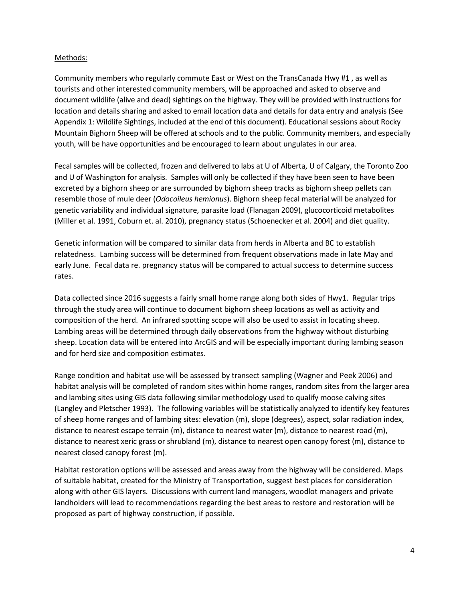#### Methods:

Community members who regularly commute East or West on the TransCanada Hwy #1 , as well as tourists and other interested community members, will be approached and asked to observe and document wildlife (alive and dead) sightings on the highway. They will be provided with instructions for location and details sharing and asked to email location data and details for data entry and analysis (See Appendix 1: Wildlife Sightings, included at the end of this document). Educational sessions about Rocky Mountain Bighorn Sheep will be offered at schools and to the public. Community members, and especially youth, will be have opportunities and be encouraged to learn about ungulates in our area.

Fecal samples will be collected, frozen and delivered to labs at U of Alberta, U of Calgary, the Toronto Zoo and U of Washington for analysis. Samples will only be collected if they have been seen to have been excreted by a bighorn sheep or are surrounded by bighorn sheep tracks as bighorn sheep pellets can resemble those of mule deer (*Odocoileus hemionus*). Bighorn sheep fecal material will be analyzed for genetic variability and individual signature, parasite load (Flanagan 2009), glucocorticoid metabolites (Miller et al. 1991, Coburn et. al. 2010), pregnancy status (Schoenecker et al. 2004) and diet quality.

Genetic information will be compared to similar data from herds in Alberta and BC to establish relatedness. Lambing success will be determined from frequent observations made in late May and early June. Fecal data re. pregnancy status will be compared to actual success to determine success rates.

Data collected since 2016 suggests a fairly small home range along both sides of Hwy1. Regular trips through the study area will continue to document bighorn sheep locations as well as activity and composition of the herd. An infrared spotting scope will also be used to assist in locating sheep. Lambing areas will be determined through daily observations from the highway without disturbing sheep. Location data will be entered into ArcGIS and will be especially important during lambing season and for herd size and composition estimates.

Range condition and habitat use will be assessed by transect sampling (Wagner and Peek 2006) and habitat analysis will be completed of random sites within home ranges, random sites from the larger area and lambing sites using GIS data following similar methodology used to qualify moose calving sites (Langley and Pletscher 1993). The following variables will be statistically analyzed to identify key features of sheep home ranges and of lambing sites: elevation (m), slope (degrees), aspect, solar radiation index, distance to nearest escape terrain (m), distance to nearest water (m), distance to nearest road (m), distance to nearest xeric grass or shrubland (m), distance to nearest open canopy forest (m), distance to nearest closed canopy forest (m).

Habitat restoration options will be assessed and areas away from the highway will be considered. Maps of suitable habitat, created for the Ministry of Transportation, suggest best places for consideration along with other GIS layers. Discussions with current land managers, woodlot managers and private landholders will lead to recommendations regarding the best areas to restore and restoration will be proposed as part of highway construction, if possible.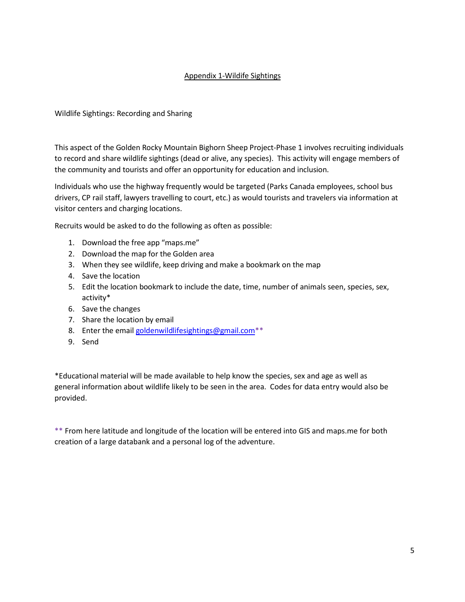## Appendix 1-Wildife Sightings

Wildlife Sightings: Recording and Sharing

This aspect of the Golden Rocky Mountain Bighorn Sheep Project-Phase 1 involves recruiting individuals to record and share wildlife sightings (dead or alive, any species). This activity will engage members of the community and tourists and offer an opportunity for education and inclusion.

Individuals who use the highway frequently would be targeted (Parks Canada employees, school bus drivers, CP rail staff, lawyers travelling to court, etc.) as would tourists and travelers via information at visitor centers and charging locations.

Recruits would be asked to do the following as often as possible:

- 1. Download the free app "maps.me"
- 2. Download the map for the Golden area
- 3. When they see wildlife, keep driving and make a bookmark on the map
- 4. Save the location
- 5. Edit the location bookmark to include the date, time, number of animals seen, species, sex, activity\*
- 6. Save the changes
- 7. Share the location by email
- 8. Enter the email goldenwildlifesightings@gmail.com<sup>\*\*</sup>
- 9. Send

\*Educational material will be made available to help know the species, sex and age as well as general information about wildlife likely to be seen in the area. Codes for data entry would also be provided.

\*\* From here latitude and longitude of the location will be entered into GIS and maps.me for both creation of a large databank and a personal log of the adventure.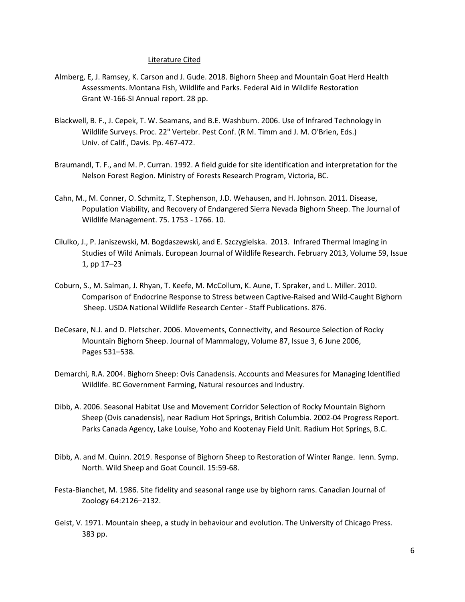#### Literature Cited

- Almberg, E, J. Ramsey, K. Carson and J. Gude. 2018. Bighorn Sheep and Mountain Goat Herd Health Assessments. Montana Fish, Wildlife and Parks. Federal Aid in Wildlife Restoration Grant W-166-SI Annual report. 28 pp.
- Blackwell, B. F., J. Cepek, T. W. Seamans, and B.E. Washburn. 2006. Use of Infrared Technology in Wildlife Surveys. Proc. 22" Vertebr. Pest Conf. (R M. Timm and J. M. O'Brien, Eds.) Univ. of Calif., Davis. Pp. 467-472.
- Braumandl, T. F., and M. P. Curran. 1992. A field guide for site identification and interpretation for the Nelson Forest Region. Ministry of Forests Research Program, Victoria, BC.
- Cahn, M., M. Conner, O. Schmitz, T. Stephenson, J.D. Wehausen, and H. Johnson. 2011. Disease, Population Viability, and Recovery of Endangered Sierra Nevada Bighorn Sheep. The Journal of Wildlife Management. 75. 1753 - 1766. 10.
- Cilulko, J., P. Janiszewski, M. Bogdaszewski, and E. Szczygielska. 2013. Infrared Thermal Imaging in Studies of Wild Animals. European Journal of Wildlife Research. February 2013, Volume 59, Issue 1, pp 17–23
- Coburn, S., M. Salman, J. Rhyan, T. Keefe, M. McCollum, K. Aune, T. Spraker, and L. Miller. 2010. Comparison of Endocrine Response to Stress between Captive-Raised and Wild-Caught Bighorn Sheep. USDA National Wildlife Research Center - Staff Publications. 876.
- DeCesare, N.J. and D. Pletscher. 2006. Movements, Connectivity, and Resource Selection of Rocky Mountain Bighorn Sheep. Journal of Mammalogy, Volume 87, Issue 3, 6 June 2006, Pages 531–538.
- Demarchi, R.A. 2004. Bighorn Sheep: Ovis Canadensis. Accounts and Measures for Managing Identified Wildlife. BC Government Farming, Natural resources and Industry.
- Dibb, A. 2006. Seasonal Habitat Use and Movement Corridor Selection of Rocky Mountain Bighorn Sheep (Ovis canadensis), near Radium Hot Springs, British Columbia. 2002-04 Progress Report. Parks Canada Agency, Lake Louise, Yoho and Kootenay Field Unit. Radium Hot Springs, B.C.
- Dibb, A. and M. Quinn. 2019. Response of Bighorn Sheep to Restoration of Winter Range. Ienn. Symp. North. Wild Sheep and Goat Council. 15:59-68.
- Festa-Bianchet, M. 1986. Site fidelity and seasonal range use by bighorn rams. Canadian Journal of Zoology 64:2126–2132.
- Geist, V. 1971. Mountain sheep, a study in behaviour and evolution. The University of Chicago Press. 383 pp.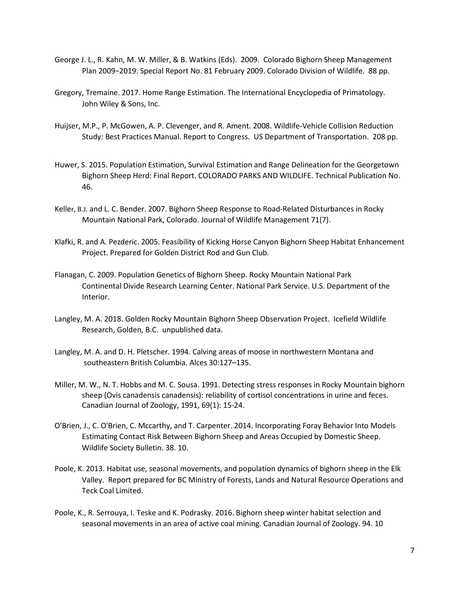- George J. L., R. Kahn, M. W. Miller, & B. Watkins (Eds). 2009. Colorado Bighorn Sheep Management Plan 2009−2019. Special Report No. 81 February 2009. Colorado Division of Wildlife. 88 pp.
- Gregory, Tremaine. 2017. Home Range Estimation. The International Encyclopedia of Primatology. John Wiley & Sons, Inc.
- Huijser, M.P., P. McGowen, A. P. Clevenger, and R. Ament. 2008. Wildlife-Vehicle Collision Reduction Study: Best Practices Manual. Report to Congress. US Department of Transportation. 208 pp.
- Huwer, S. 2015. Population Estimation, Survival Estimation and Range Delineation for the Georgetown Bighorn Sheep Herd: Final Report. COLORADO PARKS AND WILDLIFE. Technical Publication No. 46.
- Keller, B.J. and L. C. Bender. 2007. Bighorn Sheep Response to Road-Related Disturbances in Rocky Mountain National Park, Colorado. Journal of Wildlife Management 71(7).
- Klafki, R. and A. Pezderic. 2005. Feasibility of Kicking Horse Canyon Bighorn Sheep Habitat Enhancement Project. Prepared for Golden District Rod and Gun Club.
- Flanagan, C. 2009. Population Genetics of Bighorn Sheep. Rocky Mountain National Park Continental Divide Research Learning Center. National Park Service. U.S. Department of the Interior.
- Langley, M. A. 2018. Golden Rocky Mountain Bighorn Sheep Observation Project. Icefield Wildlife Research, Golden, B.C. unpublished data.
- Langley, M. A. and D. H. Pletscher. 1994. Calving areas of moose in northwestern Montana and southeastern British Columbia. Alces 30:127–135.
- Miller, M. W., N. T. Hobbs and M. C. Sousa. 1991. Detecting stress responses in Rocky Mountain bighorn sheep (Ovis canadensis canadensis): reliability of cortisol concentrations in urine and feces. Canadian Journal of Zoology, 1991, 69(1): 15-24.
- O'Brien, J., C. O'Brien, C. Mccarthy, and T. Carpenter. 2014. Incorporating Foray Behavior Into Models Estimating Contact Risk Between Bighorn Sheep and Areas Occupied by Domestic Sheep. Wildlife Society Bulletin. 38. 10.
- Poole, K. 2013. Habitat use, seasonal movements, and population dynamics of bighorn sheep in the Elk Valley. Report prepared for BC Ministry of Forests, Lands and Natural Resource Operations and Teck Coal Limited.
- Poole, K., R. Serrouya, I. Teske and K. Podrasky. 2016. Bighorn sheep winter habitat selection and seasonal movements in an area of active coal mining. Canadian Journal of Zoology. 94. 10